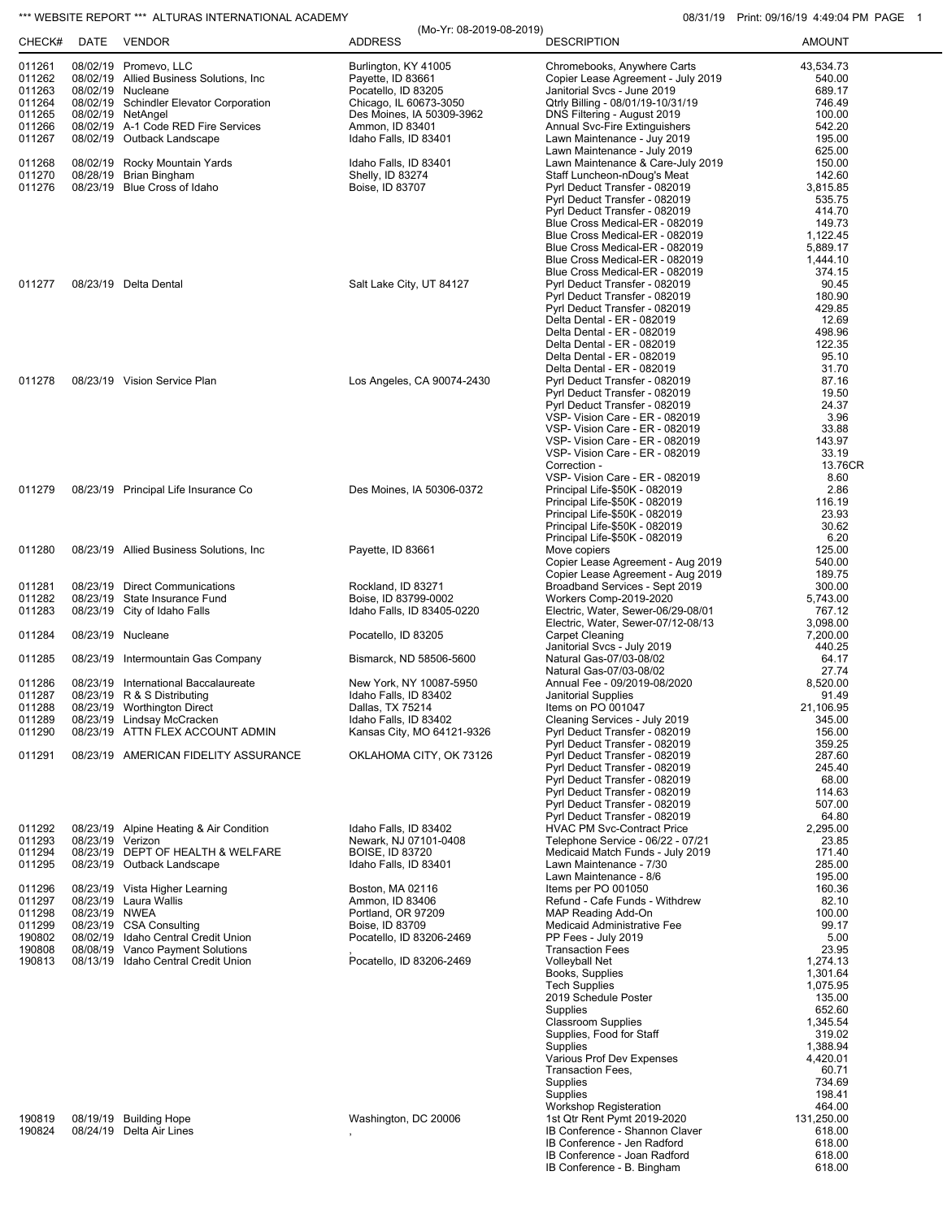## \*\*\* WEBSITE REPORT \*\*\* ALTURAS INTERNATIONAL ACADEMY 08/31/19 Print: 09/16/19 4:49:04 PM PAGE 1

| 08/02/19 Promevo, LLC<br>Burlington, KY 41005<br>Chromebooks, Anywhere Carts<br>43,534.73<br>011261<br>011262<br>08/02/19 Allied Business Solutions, Inc.<br>Payette, ID 83661<br>Copier Lease Agreement - July 2019<br>540.00<br>011263<br>08/02/19 Nucleane<br>Janitorial Svcs - June 2019<br>689.17<br>Pocatello, ID 83205<br>011264<br>08/02/19 Schindler Elevator Corporation<br>Qtrly Billing - 08/01/19-10/31/19<br>746.49<br>Chicago, IL 60673-3050<br>011265<br>08/02/19 NetAngel<br>DNS Filtering - August 2019<br>100.00<br>Des Moines, IA 50309-3962<br>011266<br>08/02/19 A-1 Code RED Fire Services<br>Ammon, ID 83401<br><b>Annual Svc-Fire Extinguishers</b><br>542.20<br>011267<br>08/02/19 Outback Landscape<br>Idaho Falls, ID 83401<br>Lawn Maintenance - Juy 2019<br>195.00<br>Lawn Maintenance - July 2019<br>625.00<br>011268<br>08/02/19 Rocky Mountain Yards<br>Idaho Falls, ID 83401<br>Lawn Maintenance & Care-July 2019<br>150.00<br>011270<br>08/28/19 Brian Bingham<br>Shelly, ID 83274<br>Staff Luncheon-nDoug's Meat<br>142.60<br>011276<br>08/23/19 Blue Cross of Idaho<br>Boise, ID 83707<br>Pyrl Deduct Transfer - 082019<br>3,815.85<br>Pyrl Deduct Transfer - 082019<br>535.75<br>Pyrl Deduct Transfer - 082019<br>414.70<br>Blue Cross Medical-ER - 082019<br>149.73<br>Blue Cross Medical-ER - 082019<br>1,122.45<br>5,889.17<br>Blue Cross Medical-ER - 082019<br>1,444.10<br>Blue Cross Medical-ER - 082019<br>Blue Cross Medical-ER - 082019<br>374.15<br>011277<br>08/23/19 Delta Dental<br>Salt Lake City, UT 84127<br>Pyrl Deduct Transfer - 082019<br>90.45<br>180.90<br>Pyrl Deduct Transfer - 082019<br>429.85<br>Pyrl Deduct Transfer - 082019<br>Delta Dental - ER - 082019<br>12.69<br>498.96<br>Delta Dental - ER - 082019<br>122.35<br>Delta Dental - ER - 082019<br>95.10<br>Delta Dental - ER - 082019<br>Delta Dental - ER - 082019<br>31.70<br>011278<br>08/23/19 Vision Service Plan<br>Los Angeles, CA 90074-2430<br>Pyrl Deduct Transfer - 082019<br>87.16<br>Pyrl Deduct Transfer - 082019<br>19.50<br>24.37<br>Pyrl Deduct Transfer - 082019<br>3.96<br>VSP- Vision Care - ER - 082019<br>VSP- Vision Care - ER - 082019<br>33.88<br>VSP- Vision Care - ER - 082019<br>143.97<br>VSP- Vision Care - ER - 082019<br>33.19<br>Correction -<br>13.76CR<br>VSP- Vision Care - ER - 082019<br>8.60<br>2.86<br>011279<br>08/23/19 Principal Life Insurance Co<br>Des Moines, IA 50306-0372<br>Principal Life-\$50K - 082019<br>116.19<br>Principal Life-\$50K - 082019<br>Principal Life-\$50K - 082019<br>23.93<br>Principal Life-\$50K - 082019<br>30.62<br>Principal Life-\$50K - 082019<br>6.20<br>125.00<br>011280<br>08/23/19 Allied Business Solutions, Inc.<br>Payette, ID 83661<br>Move copiers<br>Copier Lease Agreement - Aug 2019<br>540.00<br>Copier Lease Agreement - Aug 2019<br>189.75<br>08/23/19 Direct Communications<br>011281<br>Rockland, ID 83271<br>Broadband Services - Sept 2019<br>300.00<br>011282<br>08/23/19 State Insurance Fund<br>Boise, ID 83799-0002<br>Workers Comp-2019-2020<br>5,743.00<br>011283<br>08/23/19 City of Idaho Falls<br>Idaho Falls, ID 83405-0220<br>Electric, Water, Sewer-06/29-08/01<br>767.12<br>Electric, Water, Sewer-07/12-08/13<br>3,098.00<br>011284<br>08/23/19 Nucleane<br>Pocatello, ID 83205<br><b>Carpet Cleaning</b><br>7,200.00<br>Janitorial Svcs - July 2019<br>440.25<br>08/23/19 Intermountain Gas Company<br>Natural Gas-07/03-08/02<br>64.17<br>011285<br>Bismarck, ND 58506-5600<br>Natural Gas-07/03-08/02<br>27.74<br>011286<br>08/23/19 International Baccalaureate<br>New York, NY 10087-5950<br>Annual Fee - 09/2019-08/2020<br>8,520.00<br>011287<br>08/23/19 R & S Distributing<br>91.49<br>Idaho Falls, ID 83402<br>Janitorial Supplies<br>011288<br>08/23/19 Worthington Direct<br>Items on PO 001047<br>21,106.95<br>Dallas, TX 75214<br>011289<br>Idaho Falls, ID 83402<br>Cleaning Services - July 2019<br>345.00<br>08/23/19 Lindsay McCracken<br>011290<br>08/23/19 ATTN FLEX ACCOUNT ADMIN<br>Kansas City, MO 64121-9326<br>Pyrl Deduct Transfer - 082019<br>156.00<br>Pyrl Deduct Transfer - 082019<br>359.25<br>011291<br>08/23/19 AMERICAN FIDELITY ASSURANCE<br>Pyrl Deduct Transfer - 082019<br>OKLAHOMA CITY, OK 73126<br>287.60<br>Pyrl Deduct Transfer - 082019<br>245.40<br>Pyrl Deduct Transfer - 082019<br>68.00<br>Pyrl Deduct Transfer - 082019<br>114.63<br>Pyrl Deduct Transfer - 082019<br>507.00<br>Pyrl Deduct Transfer - 082019<br>64.80<br>011292<br>08/23/19 Alpine Heating & Air Condition<br>Idaho Falls, ID 83402<br><b>HVAC PM Svc-Contract Price</b><br>2,295.00<br>011293<br>08/23/19 Verizon<br>Newark, NJ 07101-0408<br>Telephone Service - 06/22 - 07/21<br>23.85<br>011294<br>08/23/19 DEPT OF HEALTH & WELFARE<br><b>BOISE, ID 83720</b><br>Medicaid Match Funds - July 2019<br>171.40<br>08/23/19 Outback Landscape<br>285.00<br>011295<br>Idaho Falls, ID 83401<br>Lawn Maintenance - 7/30<br>Lawn Maintenance - 8/6<br>195.00<br>Items per PO 001050<br>160.36<br>011296<br>08/23/19 Vista Higher Learning<br>Boston, MA 02116<br>011297<br>08/23/19 Laura Wallis<br>Refund - Cafe Funds - Withdrew<br>82.10<br>Ammon, ID 83406<br>011298<br>08/23/19 NWEA<br>Portland, OR 97209<br>MAP Reading Add-On<br>100.00<br>011299<br>08/23/19 CSA Consulting<br>Boise, ID 83709<br>Medicaid Administrative Fee<br>99.17<br>190802<br>08/02/19 Idaho Central Credit Union<br>PP Fees - July 2019<br>Pocatello, ID 83206-2469<br>5.00<br>08/08/19 Vanco Payment Solutions<br>190808<br><b>Transaction Fees</b><br>23.95<br>Pocatello, ID 83206-2469<br><b>Volleyball Net</b><br>190813<br>08/13/19 Idaho Central Credit Union<br>1,274.13<br>Books, Supplies<br>1,301.64<br>1,075.95<br><b>Tech Supplies</b><br>2019 Schedule Poster<br>135.00<br>Supplies<br>652.60<br><b>Classroom Supplies</b><br>1,345.54<br>Supplies, Food for Staff<br>319.02<br>1,388.94<br>Supplies<br>Various Prof Dev Expenses<br>4,420.01<br>Transaction Fees,<br>60.71<br>Supplies<br>734.69<br>Supplies<br>198.41<br>Workshop Registeration<br>464.00<br>131,250.00<br>190819<br>08/19/19 Building Hope<br>Washington, DC 20006<br>1st Qtr Rent Pymt 2019-2020<br>190824<br>08/24/19 Delta Air Lines<br>IB Conference - Shannon Claver<br>618.00<br>IB Conference - Jen Radford<br>618.00<br>618.00<br>IB Conference - Joan Radford<br>IB Conference - B. Bingham<br>618.00 | CHECK# | DATE | VENDOR | (Mo-Yr: 08-2019-08-2019)<br><b>ADDRESS</b> | <b>DESCRIPTION</b> | <b>AMOUNT</b> |
|--------------------------------------------------------------------------------------------------------------------------------------------------------------------------------------------------------------------------------------------------------------------------------------------------------------------------------------------------------------------------------------------------------------------------------------------------------------------------------------------------------------------------------------------------------------------------------------------------------------------------------------------------------------------------------------------------------------------------------------------------------------------------------------------------------------------------------------------------------------------------------------------------------------------------------------------------------------------------------------------------------------------------------------------------------------------------------------------------------------------------------------------------------------------------------------------------------------------------------------------------------------------------------------------------------------------------------------------------------------------------------------------------------------------------------------------------------------------------------------------------------------------------------------------------------------------------------------------------------------------------------------------------------------------------------------------------------------------------------------------------------------------------------------------------------------------------------------------------------------------------------------------------------------------------------------------------------------------------------------------------------------------------------------------------------------------------------------------------------------------------------------------------------------------------------------------------------------------------------------------------------------------------------------------------------------------------------------------------------------------------------------------------------------------------------------------------------------------------------------------------------------------------------------------------------------------------------------------------------------------------------------------------------------------------------------------------------------------------------------------------------------------------------------------------------------------------------------------------------------------------------------------------------------------------------------------------------------------------------------------------------------------------------------------------------------------------------------------------------------------------------------------------------------------------------------------------------------------------------------------------------------------------------------------------------------------------------------------------------------------------------------------------------------------------------------------------------------------------------------------------------------------------------------------------------------------------------------------------------------------------------------------------------------------------------------------------------------------------------------------------------------------------------------------------------------------------------------------------------------------------------------------------------------------------------------------------------------------------------------------------------------------------------------------------------------------------------------------------------------------------------------------------------------------------------------------------------------------------------------------------------------------------------------------------------------------------------------------------------------------------------------------------------------------------------------------------------------------------------------------------------------------------------------------------------------------------------------------------------------------------------------------------------------------------------------------------------------------------------------------------------------------------------------------------------------------------------------------------------------------------------------------------------------------------------------------------------------------------------------------------------------------------------------------------------------------------------------------------------------------------------------------------------------------------------------------------------------------------------------------------------------------------------------------------------------------------------------------------------------------------------------------------------------------------------------------------------------------------------------------------------------------------------------------------------------------------------------------------------------------------------------------------------------------------------------------------------------------------------------------------------------------------------------------------------------------------------------------------------------------------------------------------------------------------------------------------------------------------------------------------------------------------------------------------------------------------------------------------------------------------------------------------------------------------------------------------------------------------------------------------------------------------------------------------------------------------------------------------------------------------------------------------------------------------------------|--------|------|--------|--------------------------------------------|--------------------|---------------|
|                                                                                                                                                                                                                                                                                                                                                                                                                                                                                                                                                                                                                                                                                                                                                                                                                                                                                                                                                                                                                                                                                                                                                                                                                                                                                                                                                                                                                                                                                                                                                                                                                                                                                                                                                                                                                                                                                                                                                                                                                                                                                                                                                                                                                                                                                                                                                                                                                                                                                                                                                                                                                                                                                                                                                                                                                                                                                                                                                                                                                                                                                                                                                                                                                                                                                                                                                                                                                                                                                                                                                                                                                                                                                                                                                                                                                                                                                                                                                                                                                                                                                                                                                                                                                                                                                                                                                                                                                                                                                                                                                                                                                                                                                                                                                                                                                                                                                                                                                                                                                                                                                                                                                                                                                                                                                                                                                                                                                                                                                                                                                                                                                                                                                                                                                                                                                                                                                                                                                                                                                                                                                                                                                                                                                                                                                                                                                                                                                                      |        |      |        |                                            |                    |               |
|                                                                                                                                                                                                                                                                                                                                                                                                                                                                                                                                                                                                                                                                                                                                                                                                                                                                                                                                                                                                                                                                                                                                                                                                                                                                                                                                                                                                                                                                                                                                                                                                                                                                                                                                                                                                                                                                                                                                                                                                                                                                                                                                                                                                                                                                                                                                                                                                                                                                                                                                                                                                                                                                                                                                                                                                                                                                                                                                                                                                                                                                                                                                                                                                                                                                                                                                                                                                                                                                                                                                                                                                                                                                                                                                                                                                                                                                                                                                                                                                                                                                                                                                                                                                                                                                                                                                                                                                                                                                                                                                                                                                                                                                                                                                                                                                                                                                                                                                                                                                                                                                                                                                                                                                                                                                                                                                                                                                                                                                                                                                                                                                                                                                                                                                                                                                                                                                                                                                                                                                                                                                                                                                                                                                                                                                                                                                                                                                                                      |        |      |        |                                            |                    |               |
|                                                                                                                                                                                                                                                                                                                                                                                                                                                                                                                                                                                                                                                                                                                                                                                                                                                                                                                                                                                                                                                                                                                                                                                                                                                                                                                                                                                                                                                                                                                                                                                                                                                                                                                                                                                                                                                                                                                                                                                                                                                                                                                                                                                                                                                                                                                                                                                                                                                                                                                                                                                                                                                                                                                                                                                                                                                                                                                                                                                                                                                                                                                                                                                                                                                                                                                                                                                                                                                                                                                                                                                                                                                                                                                                                                                                                                                                                                                                                                                                                                                                                                                                                                                                                                                                                                                                                                                                                                                                                                                                                                                                                                                                                                                                                                                                                                                                                                                                                                                                                                                                                                                                                                                                                                                                                                                                                                                                                                                                                                                                                                                                                                                                                                                                                                                                                                                                                                                                                                                                                                                                                                                                                                                                                                                                                                                                                                                                                                      |        |      |        |                                            |                    |               |
|                                                                                                                                                                                                                                                                                                                                                                                                                                                                                                                                                                                                                                                                                                                                                                                                                                                                                                                                                                                                                                                                                                                                                                                                                                                                                                                                                                                                                                                                                                                                                                                                                                                                                                                                                                                                                                                                                                                                                                                                                                                                                                                                                                                                                                                                                                                                                                                                                                                                                                                                                                                                                                                                                                                                                                                                                                                                                                                                                                                                                                                                                                                                                                                                                                                                                                                                                                                                                                                                                                                                                                                                                                                                                                                                                                                                                                                                                                                                                                                                                                                                                                                                                                                                                                                                                                                                                                                                                                                                                                                                                                                                                                                                                                                                                                                                                                                                                                                                                                                                                                                                                                                                                                                                                                                                                                                                                                                                                                                                                                                                                                                                                                                                                                                                                                                                                                                                                                                                                                                                                                                                                                                                                                                                                                                                                                                                                                                                                                      |        |      |        |                                            |                    |               |
|                                                                                                                                                                                                                                                                                                                                                                                                                                                                                                                                                                                                                                                                                                                                                                                                                                                                                                                                                                                                                                                                                                                                                                                                                                                                                                                                                                                                                                                                                                                                                                                                                                                                                                                                                                                                                                                                                                                                                                                                                                                                                                                                                                                                                                                                                                                                                                                                                                                                                                                                                                                                                                                                                                                                                                                                                                                                                                                                                                                                                                                                                                                                                                                                                                                                                                                                                                                                                                                                                                                                                                                                                                                                                                                                                                                                                                                                                                                                                                                                                                                                                                                                                                                                                                                                                                                                                                                                                                                                                                                                                                                                                                                                                                                                                                                                                                                                                                                                                                                                                                                                                                                                                                                                                                                                                                                                                                                                                                                                                                                                                                                                                                                                                                                                                                                                                                                                                                                                                                                                                                                                                                                                                                                                                                                                                                                                                                                                                                      |        |      |        |                                            |                    |               |
|                                                                                                                                                                                                                                                                                                                                                                                                                                                                                                                                                                                                                                                                                                                                                                                                                                                                                                                                                                                                                                                                                                                                                                                                                                                                                                                                                                                                                                                                                                                                                                                                                                                                                                                                                                                                                                                                                                                                                                                                                                                                                                                                                                                                                                                                                                                                                                                                                                                                                                                                                                                                                                                                                                                                                                                                                                                                                                                                                                                                                                                                                                                                                                                                                                                                                                                                                                                                                                                                                                                                                                                                                                                                                                                                                                                                                                                                                                                                                                                                                                                                                                                                                                                                                                                                                                                                                                                                                                                                                                                                                                                                                                                                                                                                                                                                                                                                                                                                                                                                                                                                                                                                                                                                                                                                                                                                                                                                                                                                                                                                                                                                                                                                                                                                                                                                                                                                                                                                                                                                                                                                                                                                                                                                                                                                                                                                                                                                                                      |        |      |        |                                            |                    |               |
|                                                                                                                                                                                                                                                                                                                                                                                                                                                                                                                                                                                                                                                                                                                                                                                                                                                                                                                                                                                                                                                                                                                                                                                                                                                                                                                                                                                                                                                                                                                                                                                                                                                                                                                                                                                                                                                                                                                                                                                                                                                                                                                                                                                                                                                                                                                                                                                                                                                                                                                                                                                                                                                                                                                                                                                                                                                                                                                                                                                                                                                                                                                                                                                                                                                                                                                                                                                                                                                                                                                                                                                                                                                                                                                                                                                                                                                                                                                                                                                                                                                                                                                                                                                                                                                                                                                                                                                                                                                                                                                                                                                                                                                                                                                                                                                                                                                                                                                                                                                                                                                                                                                                                                                                                                                                                                                                                                                                                                                                                                                                                                                                                                                                                                                                                                                                                                                                                                                                                                                                                                                                                                                                                                                                                                                                                                                                                                                                                                      |        |      |        |                                            |                    |               |
|                                                                                                                                                                                                                                                                                                                                                                                                                                                                                                                                                                                                                                                                                                                                                                                                                                                                                                                                                                                                                                                                                                                                                                                                                                                                                                                                                                                                                                                                                                                                                                                                                                                                                                                                                                                                                                                                                                                                                                                                                                                                                                                                                                                                                                                                                                                                                                                                                                                                                                                                                                                                                                                                                                                                                                                                                                                                                                                                                                                                                                                                                                                                                                                                                                                                                                                                                                                                                                                                                                                                                                                                                                                                                                                                                                                                                                                                                                                                                                                                                                                                                                                                                                                                                                                                                                                                                                                                                                                                                                                                                                                                                                                                                                                                                                                                                                                                                                                                                                                                                                                                                                                                                                                                                                                                                                                                                                                                                                                                                                                                                                                                                                                                                                                                                                                                                                                                                                                                                                                                                                                                                                                                                                                                                                                                                                                                                                                                                                      |        |      |        |                                            |                    |               |
|                                                                                                                                                                                                                                                                                                                                                                                                                                                                                                                                                                                                                                                                                                                                                                                                                                                                                                                                                                                                                                                                                                                                                                                                                                                                                                                                                                                                                                                                                                                                                                                                                                                                                                                                                                                                                                                                                                                                                                                                                                                                                                                                                                                                                                                                                                                                                                                                                                                                                                                                                                                                                                                                                                                                                                                                                                                                                                                                                                                                                                                                                                                                                                                                                                                                                                                                                                                                                                                                                                                                                                                                                                                                                                                                                                                                                                                                                                                                                                                                                                                                                                                                                                                                                                                                                                                                                                                                                                                                                                                                                                                                                                                                                                                                                                                                                                                                                                                                                                                                                                                                                                                                                                                                                                                                                                                                                                                                                                                                                                                                                                                                                                                                                                                                                                                                                                                                                                                                                                                                                                                                                                                                                                                                                                                                                                                                                                                                                                      |        |      |        |                                            |                    |               |
|                                                                                                                                                                                                                                                                                                                                                                                                                                                                                                                                                                                                                                                                                                                                                                                                                                                                                                                                                                                                                                                                                                                                                                                                                                                                                                                                                                                                                                                                                                                                                                                                                                                                                                                                                                                                                                                                                                                                                                                                                                                                                                                                                                                                                                                                                                                                                                                                                                                                                                                                                                                                                                                                                                                                                                                                                                                                                                                                                                                                                                                                                                                                                                                                                                                                                                                                                                                                                                                                                                                                                                                                                                                                                                                                                                                                                                                                                                                                                                                                                                                                                                                                                                                                                                                                                                                                                                                                                                                                                                                                                                                                                                                                                                                                                                                                                                                                                                                                                                                                                                                                                                                                                                                                                                                                                                                                                                                                                                                                                                                                                                                                                                                                                                                                                                                                                                                                                                                                                                                                                                                                                                                                                                                                                                                                                                                                                                                                                                      |        |      |        |                                            |                    |               |
|                                                                                                                                                                                                                                                                                                                                                                                                                                                                                                                                                                                                                                                                                                                                                                                                                                                                                                                                                                                                                                                                                                                                                                                                                                                                                                                                                                                                                                                                                                                                                                                                                                                                                                                                                                                                                                                                                                                                                                                                                                                                                                                                                                                                                                                                                                                                                                                                                                                                                                                                                                                                                                                                                                                                                                                                                                                                                                                                                                                                                                                                                                                                                                                                                                                                                                                                                                                                                                                                                                                                                                                                                                                                                                                                                                                                                                                                                                                                                                                                                                                                                                                                                                                                                                                                                                                                                                                                                                                                                                                                                                                                                                                                                                                                                                                                                                                                                                                                                                                                                                                                                                                                                                                                                                                                                                                                                                                                                                                                                                                                                                                                                                                                                                                                                                                                                                                                                                                                                                                                                                                                                                                                                                                                                                                                                                                                                                                                                                      |        |      |        |                                            |                    |               |
|                                                                                                                                                                                                                                                                                                                                                                                                                                                                                                                                                                                                                                                                                                                                                                                                                                                                                                                                                                                                                                                                                                                                                                                                                                                                                                                                                                                                                                                                                                                                                                                                                                                                                                                                                                                                                                                                                                                                                                                                                                                                                                                                                                                                                                                                                                                                                                                                                                                                                                                                                                                                                                                                                                                                                                                                                                                                                                                                                                                                                                                                                                                                                                                                                                                                                                                                                                                                                                                                                                                                                                                                                                                                                                                                                                                                                                                                                                                                                                                                                                                                                                                                                                                                                                                                                                                                                                                                                                                                                                                                                                                                                                                                                                                                                                                                                                                                                                                                                                                                                                                                                                                                                                                                                                                                                                                                                                                                                                                                                                                                                                                                                                                                                                                                                                                                                                                                                                                                                                                                                                                                                                                                                                                                                                                                                                                                                                                                                                      |        |      |        |                                            |                    |               |
|                                                                                                                                                                                                                                                                                                                                                                                                                                                                                                                                                                                                                                                                                                                                                                                                                                                                                                                                                                                                                                                                                                                                                                                                                                                                                                                                                                                                                                                                                                                                                                                                                                                                                                                                                                                                                                                                                                                                                                                                                                                                                                                                                                                                                                                                                                                                                                                                                                                                                                                                                                                                                                                                                                                                                                                                                                                                                                                                                                                                                                                                                                                                                                                                                                                                                                                                                                                                                                                                                                                                                                                                                                                                                                                                                                                                                                                                                                                                                                                                                                                                                                                                                                                                                                                                                                                                                                                                                                                                                                                                                                                                                                                                                                                                                                                                                                                                                                                                                                                                                                                                                                                                                                                                                                                                                                                                                                                                                                                                                                                                                                                                                                                                                                                                                                                                                                                                                                                                                                                                                                                                                                                                                                                                                                                                                                                                                                                                                                      |        |      |        |                                            |                    |               |
|                                                                                                                                                                                                                                                                                                                                                                                                                                                                                                                                                                                                                                                                                                                                                                                                                                                                                                                                                                                                                                                                                                                                                                                                                                                                                                                                                                                                                                                                                                                                                                                                                                                                                                                                                                                                                                                                                                                                                                                                                                                                                                                                                                                                                                                                                                                                                                                                                                                                                                                                                                                                                                                                                                                                                                                                                                                                                                                                                                                                                                                                                                                                                                                                                                                                                                                                                                                                                                                                                                                                                                                                                                                                                                                                                                                                                                                                                                                                                                                                                                                                                                                                                                                                                                                                                                                                                                                                                                                                                                                                                                                                                                                                                                                                                                                                                                                                                                                                                                                                                                                                                                                                                                                                                                                                                                                                                                                                                                                                                                                                                                                                                                                                                                                                                                                                                                                                                                                                                                                                                                                                                                                                                                                                                                                                                                                                                                                                                                      |        |      |        |                                            |                    |               |
|                                                                                                                                                                                                                                                                                                                                                                                                                                                                                                                                                                                                                                                                                                                                                                                                                                                                                                                                                                                                                                                                                                                                                                                                                                                                                                                                                                                                                                                                                                                                                                                                                                                                                                                                                                                                                                                                                                                                                                                                                                                                                                                                                                                                                                                                                                                                                                                                                                                                                                                                                                                                                                                                                                                                                                                                                                                                                                                                                                                                                                                                                                                                                                                                                                                                                                                                                                                                                                                                                                                                                                                                                                                                                                                                                                                                                                                                                                                                                                                                                                                                                                                                                                                                                                                                                                                                                                                                                                                                                                                                                                                                                                                                                                                                                                                                                                                                                                                                                                                                                                                                                                                                                                                                                                                                                                                                                                                                                                                                                                                                                                                                                                                                                                                                                                                                                                                                                                                                                                                                                                                                                                                                                                                                                                                                                                                                                                                                                                      |        |      |        |                                            |                    |               |
|                                                                                                                                                                                                                                                                                                                                                                                                                                                                                                                                                                                                                                                                                                                                                                                                                                                                                                                                                                                                                                                                                                                                                                                                                                                                                                                                                                                                                                                                                                                                                                                                                                                                                                                                                                                                                                                                                                                                                                                                                                                                                                                                                                                                                                                                                                                                                                                                                                                                                                                                                                                                                                                                                                                                                                                                                                                                                                                                                                                                                                                                                                                                                                                                                                                                                                                                                                                                                                                                                                                                                                                                                                                                                                                                                                                                                                                                                                                                                                                                                                                                                                                                                                                                                                                                                                                                                                                                                                                                                                                                                                                                                                                                                                                                                                                                                                                                                                                                                                                                                                                                                                                                                                                                                                                                                                                                                                                                                                                                                                                                                                                                                                                                                                                                                                                                                                                                                                                                                                                                                                                                                                                                                                                                                                                                                                                                                                                                                                      |        |      |        |                                            |                    |               |
|                                                                                                                                                                                                                                                                                                                                                                                                                                                                                                                                                                                                                                                                                                                                                                                                                                                                                                                                                                                                                                                                                                                                                                                                                                                                                                                                                                                                                                                                                                                                                                                                                                                                                                                                                                                                                                                                                                                                                                                                                                                                                                                                                                                                                                                                                                                                                                                                                                                                                                                                                                                                                                                                                                                                                                                                                                                                                                                                                                                                                                                                                                                                                                                                                                                                                                                                                                                                                                                                                                                                                                                                                                                                                                                                                                                                                                                                                                                                                                                                                                                                                                                                                                                                                                                                                                                                                                                                                                                                                                                                                                                                                                                                                                                                                                                                                                                                                                                                                                                                                                                                                                                                                                                                                                                                                                                                                                                                                                                                                                                                                                                                                                                                                                                                                                                                                                                                                                                                                                                                                                                                                                                                                                                                                                                                                                                                                                                                                                      |        |      |        |                                            |                    |               |
|                                                                                                                                                                                                                                                                                                                                                                                                                                                                                                                                                                                                                                                                                                                                                                                                                                                                                                                                                                                                                                                                                                                                                                                                                                                                                                                                                                                                                                                                                                                                                                                                                                                                                                                                                                                                                                                                                                                                                                                                                                                                                                                                                                                                                                                                                                                                                                                                                                                                                                                                                                                                                                                                                                                                                                                                                                                                                                                                                                                                                                                                                                                                                                                                                                                                                                                                                                                                                                                                                                                                                                                                                                                                                                                                                                                                                                                                                                                                                                                                                                                                                                                                                                                                                                                                                                                                                                                                                                                                                                                                                                                                                                                                                                                                                                                                                                                                                                                                                                                                                                                                                                                                                                                                                                                                                                                                                                                                                                                                                                                                                                                                                                                                                                                                                                                                                                                                                                                                                                                                                                                                                                                                                                                                                                                                                                                                                                                                                                      |        |      |        |                                            |                    |               |
|                                                                                                                                                                                                                                                                                                                                                                                                                                                                                                                                                                                                                                                                                                                                                                                                                                                                                                                                                                                                                                                                                                                                                                                                                                                                                                                                                                                                                                                                                                                                                                                                                                                                                                                                                                                                                                                                                                                                                                                                                                                                                                                                                                                                                                                                                                                                                                                                                                                                                                                                                                                                                                                                                                                                                                                                                                                                                                                                                                                                                                                                                                                                                                                                                                                                                                                                                                                                                                                                                                                                                                                                                                                                                                                                                                                                                                                                                                                                                                                                                                                                                                                                                                                                                                                                                                                                                                                                                                                                                                                                                                                                                                                                                                                                                                                                                                                                                                                                                                                                                                                                                                                                                                                                                                                                                                                                                                                                                                                                                                                                                                                                                                                                                                                                                                                                                                                                                                                                                                                                                                                                                                                                                                                                                                                                                                                                                                                                                                      |        |      |        |                                            |                    |               |
|                                                                                                                                                                                                                                                                                                                                                                                                                                                                                                                                                                                                                                                                                                                                                                                                                                                                                                                                                                                                                                                                                                                                                                                                                                                                                                                                                                                                                                                                                                                                                                                                                                                                                                                                                                                                                                                                                                                                                                                                                                                                                                                                                                                                                                                                                                                                                                                                                                                                                                                                                                                                                                                                                                                                                                                                                                                                                                                                                                                                                                                                                                                                                                                                                                                                                                                                                                                                                                                                                                                                                                                                                                                                                                                                                                                                                                                                                                                                                                                                                                                                                                                                                                                                                                                                                                                                                                                                                                                                                                                                                                                                                                                                                                                                                                                                                                                                                                                                                                                                                                                                                                                                                                                                                                                                                                                                                                                                                                                                                                                                                                                                                                                                                                                                                                                                                                                                                                                                                                                                                                                                                                                                                                                                                                                                                                                                                                                                                                      |        |      |        |                                            |                    |               |
|                                                                                                                                                                                                                                                                                                                                                                                                                                                                                                                                                                                                                                                                                                                                                                                                                                                                                                                                                                                                                                                                                                                                                                                                                                                                                                                                                                                                                                                                                                                                                                                                                                                                                                                                                                                                                                                                                                                                                                                                                                                                                                                                                                                                                                                                                                                                                                                                                                                                                                                                                                                                                                                                                                                                                                                                                                                                                                                                                                                                                                                                                                                                                                                                                                                                                                                                                                                                                                                                                                                                                                                                                                                                                                                                                                                                                                                                                                                                                                                                                                                                                                                                                                                                                                                                                                                                                                                                                                                                                                                                                                                                                                                                                                                                                                                                                                                                                                                                                                                                                                                                                                                                                                                                                                                                                                                                                                                                                                                                                                                                                                                                                                                                                                                                                                                                                                                                                                                                                                                                                                                                                                                                                                                                                                                                                                                                                                                                                                      |        |      |        |                                            |                    |               |
|                                                                                                                                                                                                                                                                                                                                                                                                                                                                                                                                                                                                                                                                                                                                                                                                                                                                                                                                                                                                                                                                                                                                                                                                                                                                                                                                                                                                                                                                                                                                                                                                                                                                                                                                                                                                                                                                                                                                                                                                                                                                                                                                                                                                                                                                                                                                                                                                                                                                                                                                                                                                                                                                                                                                                                                                                                                                                                                                                                                                                                                                                                                                                                                                                                                                                                                                                                                                                                                                                                                                                                                                                                                                                                                                                                                                                                                                                                                                                                                                                                                                                                                                                                                                                                                                                                                                                                                                                                                                                                                                                                                                                                                                                                                                                                                                                                                                                                                                                                                                                                                                                                                                                                                                                                                                                                                                                                                                                                                                                                                                                                                                                                                                                                                                                                                                                                                                                                                                                                                                                                                                                                                                                                                                                                                                                                                                                                                                                                      |        |      |        |                                            |                    |               |
|                                                                                                                                                                                                                                                                                                                                                                                                                                                                                                                                                                                                                                                                                                                                                                                                                                                                                                                                                                                                                                                                                                                                                                                                                                                                                                                                                                                                                                                                                                                                                                                                                                                                                                                                                                                                                                                                                                                                                                                                                                                                                                                                                                                                                                                                                                                                                                                                                                                                                                                                                                                                                                                                                                                                                                                                                                                                                                                                                                                                                                                                                                                                                                                                                                                                                                                                                                                                                                                                                                                                                                                                                                                                                                                                                                                                                                                                                                                                                                                                                                                                                                                                                                                                                                                                                                                                                                                                                                                                                                                                                                                                                                                                                                                                                                                                                                                                                                                                                                                                                                                                                                                                                                                                                                                                                                                                                                                                                                                                                                                                                                                                                                                                                                                                                                                                                                                                                                                                                                                                                                                                                                                                                                                                                                                                                                                                                                                                                                      |        |      |        |                                            |                    |               |
|                                                                                                                                                                                                                                                                                                                                                                                                                                                                                                                                                                                                                                                                                                                                                                                                                                                                                                                                                                                                                                                                                                                                                                                                                                                                                                                                                                                                                                                                                                                                                                                                                                                                                                                                                                                                                                                                                                                                                                                                                                                                                                                                                                                                                                                                                                                                                                                                                                                                                                                                                                                                                                                                                                                                                                                                                                                                                                                                                                                                                                                                                                                                                                                                                                                                                                                                                                                                                                                                                                                                                                                                                                                                                                                                                                                                                                                                                                                                                                                                                                                                                                                                                                                                                                                                                                                                                                                                                                                                                                                                                                                                                                                                                                                                                                                                                                                                                                                                                                                                                                                                                                                                                                                                                                                                                                                                                                                                                                                                                                                                                                                                                                                                                                                                                                                                                                                                                                                                                                                                                                                                                                                                                                                                                                                                                                                                                                                                                                      |        |      |        |                                            |                    |               |
|                                                                                                                                                                                                                                                                                                                                                                                                                                                                                                                                                                                                                                                                                                                                                                                                                                                                                                                                                                                                                                                                                                                                                                                                                                                                                                                                                                                                                                                                                                                                                                                                                                                                                                                                                                                                                                                                                                                                                                                                                                                                                                                                                                                                                                                                                                                                                                                                                                                                                                                                                                                                                                                                                                                                                                                                                                                                                                                                                                                                                                                                                                                                                                                                                                                                                                                                                                                                                                                                                                                                                                                                                                                                                                                                                                                                                                                                                                                                                                                                                                                                                                                                                                                                                                                                                                                                                                                                                                                                                                                                                                                                                                                                                                                                                                                                                                                                                                                                                                                                                                                                                                                                                                                                                                                                                                                                                                                                                                                                                                                                                                                                                                                                                                                                                                                                                                                                                                                                                                                                                                                                                                                                                                                                                                                                                                                                                                                                                                      |        |      |        |                                            |                    |               |
|                                                                                                                                                                                                                                                                                                                                                                                                                                                                                                                                                                                                                                                                                                                                                                                                                                                                                                                                                                                                                                                                                                                                                                                                                                                                                                                                                                                                                                                                                                                                                                                                                                                                                                                                                                                                                                                                                                                                                                                                                                                                                                                                                                                                                                                                                                                                                                                                                                                                                                                                                                                                                                                                                                                                                                                                                                                                                                                                                                                                                                                                                                                                                                                                                                                                                                                                                                                                                                                                                                                                                                                                                                                                                                                                                                                                                                                                                                                                                                                                                                                                                                                                                                                                                                                                                                                                                                                                                                                                                                                                                                                                                                                                                                                                                                                                                                                                                                                                                                                                                                                                                                                                                                                                                                                                                                                                                                                                                                                                                                                                                                                                                                                                                                                                                                                                                                                                                                                                                                                                                                                                                                                                                                                                                                                                                                                                                                                                                                      |        |      |        |                                            |                    |               |
|                                                                                                                                                                                                                                                                                                                                                                                                                                                                                                                                                                                                                                                                                                                                                                                                                                                                                                                                                                                                                                                                                                                                                                                                                                                                                                                                                                                                                                                                                                                                                                                                                                                                                                                                                                                                                                                                                                                                                                                                                                                                                                                                                                                                                                                                                                                                                                                                                                                                                                                                                                                                                                                                                                                                                                                                                                                                                                                                                                                                                                                                                                                                                                                                                                                                                                                                                                                                                                                                                                                                                                                                                                                                                                                                                                                                                                                                                                                                                                                                                                                                                                                                                                                                                                                                                                                                                                                                                                                                                                                                                                                                                                                                                                                                                                                                                                                                                                                                                                                                                                                                                                                                                                                                                                                                                                                                                                                                                                                                                                                                                                                                                                                                                                                                                                                                                                                                                                                                                                                                                                                                                                                                                                                                                                                                                                                                                                                                                                      |        |      |        |                                            |                    |               |
|                                                                                                                                                                                                                                                                                                                                                                                                                                                                                                                                                                                                                                                                                                                                                                                                                                                                                                                                                                                                                                                                                                                                                                                                                                                                                                                                                                                                                                                                                                                                                                                                                                                                                                                                                                                                                                                                                                                                                                                                                                                                                                                                                                                                                                                                                                                                                                                                                                                                                                                                                                                                                                                                                                                                                                                                                                                                                                                                                                                                                                                                                                                                                                                                                                                                                                                                                                                                                                                                                                                                                                                                                                                                                                                                                                                                                                                                                                                                                                                                                                                                                                                                                                                                                                                                                                                                                                                                                                                                                                                                                                                                                                                                                                                                                                                                                                                                                                                                                                                                                                                                                                                                                                                                                                                                                                                                                                                                                                                                                                                                                                                                                                                                                                                                                                                                                                                                                                                                                                                                                                                                                                                                                                                                                                                                                                                                                                                                                                      |        |      |        |                                            |                    |               |
|                                                                                                                                                                                                                                                                                                                                                                                                                                                                                                                                                                                                                                                                                                                                                                                                                                                                                                                                                                                                                                                                                                                                                                                                                                                                                                                                                                                                                                                                                                                                                                                                                                                                                                                                                                                                                                                                                                                                                                                                                                                                                                                                                                                                                                                                                                                                                                                                                                                                                                                                                                                                                                                                                                                                                                                                                                                                                                                                                                                                                                                                                                                                                                                                                                                                                                                                                                                                                                                                                                                                                                                                                                                                                                                                                                                                                                                                                                                                                                                                                                                                                                                                                                                                                                                                                                                                                                                                                                                                                                                                                                                                                                                                                                                                                                                                                                                                                                                                                                                                                                                                                                                                                                                                                                                                                                                                                                                                                                                                                                                                                                                                                                                                                                                                                                                                                                                                                                                                                                                                                                                                                                                                                                                                                                                                                                                                                                                                                                      |        |      |        |                                            |                    |               |
|                                                                                                                                                                                                                                                                                                                                                                                                                                                                                                                                                                                                                                                                                                                                                                                                                                                                                                                                                                                                                                                                                                                                                                                                                                                                                                                                                                                                                                                                                                                                                                                                                                                                                                                                                                                                                                                                                                                                                                                                                                                                                                                                                                                                                                                                                                                                                                                                                                                                                                                                                                                                                                                                                                                                                                                                                                                                                                                                                                                                                                                                                                                                                                                                                                                                                                                                                                                                                                                                                                                                                                                                                                                                                                                                                                                                                                                                                                                                                                                                                                                                                                                                                                                                                                                                                                                                                                                                                                                                                                                                                                                                                                                                                                                                                                                                                                                                                                                                                                                                                                                                                                                                                                                                                                                                                                                                                                                                                                                                                                                                                                                                                                                                                                                                                                                                                                                                                                                                                                                                                                                                                                                                                                                                                                                                                                                                                                                                                                      |        |      |        |                                            |                    |               |
|                                                                                                                                                                                                                                                                                                                                                                                                                                                                                                                                                                                                                                                                                                                                                                                                                                                                                                                                                                                                                                                                                                                                                                                                                                                                                                                                                                                                                                                                                                                                                                                                                                                                                                                                                                                                                                                                                                                                                                                                                                                                                                                                                                                                                                                                                                                                                                                                                                                                                                                                                                                                                                                                                                                                                                                                                                                                                                                                                                                                                                                                                                                                                                                                                                                                                                                                                                                                                                                                                                                                                                                                                                                                                                                                                                                                                                                                                                                                                                                                                                                                                                                                                                                                                                                                                                                                                                                                                                                                                                                                                                                                                                                                                                                                                                                                                                                                                                                                                                                                                                                                                                                                                                                                                                                                                                                                                                                                                                                                                                                                                                                                                                                                                                                                                                                                                                                                                                                                                                                                                                                                                                                                                                                                                                                                                                                                                                                                                                      |        |      |        |                                            |                    |               |
|                                                                                                                                                                                                                                                                                                                                                                                                                                                                                                                                                                                                                                                                                                                                                                                                                                                                                                                                                                                                                                                                                                                                                                                                                                                                                                                                                                                                                                                                                                                                                                                                                                                                                                                                                                                                                                                                                                                                                                                                                                                                                                                                                                                                                                                                                                                                                                                                                                                                                                                                                                                                                                                                                                                                                                                                                                                                                                                                                                                                                                                                                                                                                                                                                                                                                                                                                                                                                                                                                                                                                                                                                                                                                                                                                                                                                                                                                                                                                                                                                                                                                                                                                                                                                                                                                                                                                                                                                                                                                                                                                                                                                                                                                                                                                                                                                                                                                                                                                                                                                                                                                                                                                                                                                                                                                                                                                                                                                                                                                                                                                                                                                                                                                                                                                                                                                                                                                                                                                                                                                                                                                                                                                                                                                                                                                                                                                                                                                                      |        |      |        |                                            |                    |               |
|                                                                                                                                                                                                                                                                                                                                                                                                                                                                                                                                                                                                                                                                                                                                                                                                                                                                                                                                                                                                                                                                                                                                                                                                                                                                                                                                                                                                                                                                                                                                                                                                                                                                                                                                                                                                                                                                                                                                                                                                                                                                                                                                                                                                                                                                                                                                                                                                                                                                                                                                                                                                                                                                                                                                                                                                                                                                                                                                                                                                                                                                                                                                                                                                                                                                                                                                                                                                                                                                                                                                                                                                                                                                                                                                                                                                                                                                                                                                                                                                                                                                                                                                                                                                                                                                                                                                                                                                                                                                                                                                                                                                                                                                                                                                                                                                                                                                                                                                                                                                                                                                                                                                                                                                                                                                                                                                                                                                                                                                                                                                                                                                                                                                                                                                                                                                                                                                                                                                                                                                                                                                                                                                                                                                                                                                                                                                                                                                                                      |        |      |        |                                            |                    |               |
|                                                                                                                                                                                                                                                                                                                                                                                                                                                                                                                                                                                                                                                                                                                                                                                                                                                                                                                                                                                                                                                                                                                                                                                                                                                                                                                                                                                                                                                                                                                                                                                                                                                                                                                                                                                                                                                                                                                                                                                                                                                                                                                                                                                                                                                                                                                                                                                                                                                                                                                                                                                                                                                                                                                                                                                                                                                                                                                                                                                                                                                                                                                                                                                                                                                                                                                                                                                                                                                                                                                                                                                                                                                                                                                                                                                                                                                                                                                                                                                                                                                                                                                                                                                                                                                                                                                                                                                                                                                                                                                                                                                                                                                                                                                                                                                                                                                                                                                                                                                                                                                                                                                                                                                                                                                                                                                                                                                                                                                                                                                                                                                                                                                                                                                                                                                                                                                                                                                                                                                                                                                                                                                                                                                                                                                                                                                                                                                                                                      |        |      |        |                                            |                    |               |
|                                                                                                                                                                                                                                                                                                                                                                                                                                                                                                                                                                                                                                                                                                                                                                                                                                                                                                                                                                                                                                                                                                                                                                                                                                                                                                                                                                                                                                                                                                                                                                                                                                                                                                                                                                                                                                                                                                                                                                                                                                                                                                                                                                                                                                                                                                                                                                                                                                                                                                                                                                                                                                                                                                                                                                                                                                                                                                                                                                                                                                                                                                                                                                                                                                                                                                                                                                                                                                                                                                                                                                                                                                                                                                                                                                                                                                                                                                                                                                                                                                                                                                                                                                                                                                                                                                                                                                                                                                                                                                                                                                                                                                                                                                                                                                                                                                                                                                                                                                                                                                                                                                                                                                                                                                                                                                                                                                                                                                                                                                                                                                                                                                                                                                                                                                                                                                                                                                                                                                                                                                                                                                                                                                                                                                                                                                                                                                                                                                      |        |      |        |                                            |                    |               |
|                                                                                                                                                                                                                                                                                                                                                                                                                                                                                                                                                                                                                                                                                                                                                                                                                                                                                                                                                                                                                                                                                                                                                                                                                                                                                                                                                                                                                                                                                                                                                                                                                                                                                                                                                                                                                                                                                                                                                                                                                                                                                                                                                                                                                                                                                                                                                                                                                                                                                                                                                                                                                                                                                                                                                                                                                                                                                                                                                                                                                                                                                                                                                                                                                                                                                                                                                                                                                                                                                                                                                                                                                                                                                                                                                                                                                                                                                                                                                                                                                                                                                                                                                                                                                                                                                                                                                                                                                                                                                                                                                                                                                                                                                                                                                                                                                                                                                                                                                                                                                                                                                                                                                                                                                                                                                                                                                                                                                                                                                                                                                                                                                                                                                                                                                                                                                                                                                                                                                                                                                                                                                                                                                                                                                                                                                                                                                                                                                                      |        |      |        |                                            |                    |               |
|                                                                                                                                                                                                                                                                                                                                                                                                                                                                                                                                                                                                                                                                                                                                                                                                                                                                                                                                                                                                                                                                                                                                                                                                                                                                                                                                                                                                                                                                                                                                                                                                                                                                                                                                                                                                                                                                                                                                                                                                                                                                                                                                                                                                                                                                                                                                                                                                                                                                                                                                                                                                                                                                                                                                                                                                                                                                                                                                                                                                                                                                                                                                                                                                                                                                                                                                                                                                                                                                                                                                                                                                                                                                                                                                                                                                                                                                                                                                                                                                                                                                                                                                                                                                                                                                                                                                                                                                                                                                                                                                                                                                                                                                                                                                                                                                                                                                                                                                                                                                                                                                                                                                                                                                                                                                                                                                                                                                                                                                                                                                                                                                                                                                                                                                                                                                                                                                                                                                                                                                                                                                                                                                                                                                                                                                                                                                                                                                                                      |        |      |        |                                            |                    |               |
|                                                                                                                                                                                                                                                                                                                                                                                                                                                                                                                                                                                                                                                                                                                                                                                                                                                                                                                                                                                                                                                                                                                                                                                                                                                                                                                                                                                                                                                                                                                                                                                                                                                                                                                                                                                                                                                                                                                                                                                                                                                                                                                                                                                                                                                                                                                                                                                                                                                                                                                                                                                                                                                                                                                                                                                                                                                                                                                                                                                                                                                                                                                                                                                                                                                                                                                                                                                                                                                                                                                                                                                                                                                                                                                                                                                                                                                                                                                                                                                                                                                                                                                                                                                                                                                                                                                                                                                                                                                                                                                                                                                                                                                                                                                                                                                                                                                                                                                                                                                                                                                                                                                                                                                                                                                                                                                                                                                                                                                                                                                                                                                                                                                                                                                                                                                                                                                                                                                                                                                                                                                                                                                                                                                                                                                                                                                                                                                                                                      |        |      |        |                                            |                    |               |
|                                                                                                                                                                                                                                                                                                                                                                                                                                                                                                                                                                                                                                                                                                                                                                                                                                                                                                                                                                                                                                                                                                                                                                                                                                                                                                                                                                                                                                                                                                                                                                                                                                                                                                                                                                                                                                                                                                                                                                                                                                                                                                                                                                                                                                                                                                                                                                                                                                                                                                                                                                                                                                                                                                                                                                                                                                                                                                                                                                                                                                                                                                                                                                                                                                                                                                                                                                                                                                                                                                                                                                                                                                                                                                                                                                                                                                                                                                                                                                                                                                                                                                                                                                                                                                                                                                                                                                                                                                                                                                                                                                                                                                                                                                                                                                                                                                                                                                                                                                                                                                                                                                                                                                                                                                                                                                                                                                                                                                                                                                                                                                                                                                                                                                                                                                                                                                                                                                                                                                                                                                                                                                                                                                                                                                                                                                                                                                                                                                      |        |      |        |                                            |                    |               |
|                                                                                                                                                                                                                                                                                                                                                                                                                                                                                                                                                                                                                                                                                                                                                                                                                                                                                                                                                                                                                                                                                                                                                                                                                                                                                                                                                                                                                                                                                                                                                                                                                                                                                                                                                                                                                                                                                                                                                                                                                                                                                                                                                                                                                                                                                                                                                                                                                                                                                                                                                                                                                                                                                                                                                                                                                                                                                                                                                                                                                                                                                                                                                                                                                                                                                                                                                                                                                                                                                                                                                                                                                                                                                                                                                                                                                                                                                                                                                                                                                                                                                                                                                                                                                                                                                                                                                                                                                                                                                                                                                                                                                                                                                                                                                                                                                                                                                                                                                                                                                                                                                                                                                                                                                                                                                                                                                                                                                                                                                                                                                                                                                                                                                                                                                                                                                                                                                                                                                                                                                                                                                                                                                                                                                                                                                                                                                                                                                                      |        |      |        |                                            |                    |               |
|                                                                                                                                                                                                                                                                                                                                                                                                                                                                                                                                                                                                                                                                                                                                                                                                                                                                                                                                                                                                                                                                                                                                                                                                                                                                                                                                                                                                                                                                                                                                                                                                                                                                                                                                                                                                                                                                                                                                                                                                                                                                                                                                                                                                                                                                                                                                                                                                                                                                                                                                                                                                                                                                                                                                                                                                                                                                                                                                                                                                                                                                                                                                                                                                                                                                                                                                                                                                                                                                                                                                                                                                                                                                                                                                                                                                                                                                                                                                                                                                                                                                                                                                                                                                                                                                                                                                                                                                                                                                                                                                                                                                                                                                                                                                                                                                                                                                                                                                                                                                                                                                                                                                                                                                                                                                                                                                                                                                                                                                                                                                                                                                                                                                                                                                                                                                                                                                                                                                                                                                                                                                                                                                                                                                                                                                                                                                                                                                                                      |        |      |        |                                            |                    |               |
|                                                                                                                                                                                                                                                                                                                                                                                                                                                                                                                                                                                                                                                                                                                                                                                                                                                                                                                                                                                                                                                                                                                                                                                                                                                                                                                                                                                                                                                                                                                                                                                                                                                                                                                                                                                                                                                                                                                                                                                                                                                                                                                                                                                                                                                                                                                                                                                                                                                                                                                                                                                                                                                                                                                                                                                                                                                                                                                                                                                                                                                                                                                                                                                                                                                                                                                                                                                                                                                                                                                                                                                                                                                                                                                                                                                                                                                                                                                                                                                                                                                                                                                                                                                                                                                                                                                                                                                                                                                                                                                                                                                                                                                                                                                                                                                                                                                                                                                                                                                                                                                                                                                                                                                                                                                                                                                                                                                                                                                                                                                                                                                                                                                                                                                                                                                                                                                                                                                                                                                                                                                                                                                                                                                                                                                                                                                                                                                                                                      |        |      |        |                                            |                    |               |
|                                                                                                                                                                                                                                                                                                                                                                                                                                                                                                                                                                                                                                                                                                                                                                                                                                                                                                                                                                                                                                                                                                                                                                                                                                                                                                                                                                                                                                                                                                                                                                                                                                                                                                                                                                                                                                                                                                                                                                                                                                                                                                                                                                                                                                                                                                                                                                                                                                                                                                                                                                                                                                                                                                                                                                                                                                                                                                                                                                                                                                                                                                                                                                                                                                                                                                                                                                                                                                                                                                                                                                                                                                                                                                                                                                                                                                                                                                                                                                                                                                                                                                                                                                                                                                                                                                                                                                                                                                                                                                                                                                                                                                                                                                                                                                                                                                                                                                                                                                                                                                                                                                                                                                                                                                                                                                                                                                                                                                                                                                                                                                                                                                                                                                                                                                                                                                                                                                                                                                                                                                                                                                                                                                                                                                                                                                                                                                                                                                      |        |      |        |                                            |                    |               |
|                                                                                                                                                                                                                                                                                                                                                                                                                                                                                                                                                                                                                                                                                                                                                                                                                                                                                                                                                                                                                                                                                                                                                                                                                                                                                                                                                                                                                                                                                                                                                                                                                                                                                                                                                                                                                                                                                                                                                                                                                                                                                                                                                                                                                                                                                                                                                                                                                                                                                                                                                                                                                                                                                                                                                                                                                                                                                                                                                                                                                                                                                                                                                                                                                                                                                                                                                                                                                                                                                                                                                                                                                                                                                                                                                                                                                                                                                                                                                                                                                                                                                                                                                                                                                                                                                                                                                                                                                                                                                                                                                                                                                                                                                                                                                                                                                                                                                                                                                                                                                                                                                                                                                                                                                                                                                                                                                                                                                                                                                                                                                                                                                                                                                                                                                                                                                                                                                                                                                                                                                                                                                                                                                                                                                                                                                                                                                                                                                                      |        |      |        |                                            |                    |               |
|                                                                                                                                                                                                                                                                                                                                                                                                                                                                                                                                                                                                                                                                                                                                                                                                                                                                                                                                                                                                                                                                                                                                                                                                                                                                                                                                                                                                                                                                                                                                                                                                                                                                                                                                                                                                                                                                                                                                                                                                                                                                                                                                                                                                                                                                                                                                                                                                                                                                                                                                                                                                                                                                                                                                                                                                                                                                                                                                                                                                                                                                                                                                                                                                                                                                                                                                                                                                                                                                                                                                                                                                                                                                                                                                                                                                                                                                                                                                                                                                                                                                                                                                                                                                                                                                                                                                                                                                                                                                                                                                                                                                                                                                                                                                                                                                                                                                                                                                                                                                                                                                                                                                                                                                                                                                                                                                                                                                                                                                                                                                                                                                                                                                                                                                                                                                                                                                                                                                                                                                                                                                                                                                                                                                                                                                                                                                                                                                                                      |        |      |        |                                            |                    |               |
|                                                                                                                                                                                                                                                                                                                                                                                                                                                                                                                                                                                                                                                                                                                                                                                                                                                                                                                                                                                                                                                                                                                                                                                                                                                                                                                                                                                                                                                                                                                                                                                                                                                                                                                                                                                                                                                                                                                                                                                                                                                                                                                                                                                                                                                                                                                                                                                                                                                                                                                                                                                                                                                                                                                                                                                                                                                                                                                                                                                                                                                                                                                                                                                                                                                                                                                                                                                                                                                                                                                                                                                                                                                                                                                                                                                                                                                                                                                                                                                                                                                                                                                                                                                                                                                                                                                                                                                                                                                                                                                                                                                                                                                                                                                                                                                                                                                                                                                                                                                                                                                                                                                                                                                                                                                                                                                                                                                                                                                                                                                                                                                                                                                                                                                                                                                                                                                                                                                                                                                                                                                                                                                                                                                                                                                                                                                                                                                                                                      |        |      |        |                                            |                    |               |
|                                                                                                                                                                                                                                                                                                                                                                                                                                                                                                                                                                                                                                                                                                                                                                                                                                                                                                                                                                                                                                                                                                                                                                                                                                                                                                                                                                                                                                                                                                                                                                                                                                                                                                                                                                                                                                                                                                                                                                                                                                                                                                                                                                                                                                                                                                                                                                                                                                                                                                                                                                                                                                                                                                                                                                                                                                                                                                                                                                                                                                                                                                                                                                                                                                                                                                                                                                                                                                                                                                                                                                                                                                                                                                                                                                                                                                                                                                                                                                                                                                                                                                                                                                                                                                                                                                                                                                                                                                                                                                                                                                                                                                                                                                                                                                                                                                                                                                                                                                                                                                                                                                                                                                                                                                                                                                                                                                                                                                                                                                                                                                                                                                                                                                                                                                                                                                                                                                                                                                                                                                                                                                                                                                                                                                                                                                                                                                                                                                      |        |      |        |                                            |                    |               |
|                                                                                                                                                                                                                                                                                                                                                                                                                                                                                                                                                                                                                                                                                                                                                                                                                                                                                                                                                                                                                                                                                                                                                                                                                                                                                                                                                                                                                                                                                                                                                                                                                                                                                                                                                                                                                                                                                                                                                                                                                                                                                                                                                                                                                                                                                                                                                                                                                                                                                                                                                                                                                                                                                                                                                                                                                                                                                                                                                                                                                                                                                                                                                                                                                                                                                                                                                                                                                                                                                                                                                                                                                                                                                                                                                                                                                                                                                                                                                                                                                                                                                                                                                                                                                                                                                                                                                                                                                                                                                                                                                                                                                                                                                                                                                                                                                                                                                                                                                                                                                                                                                                                                                                                                                                                                                                                                                                                                                                                                                                                                                                                                                                                                                                                                                                                                                                                                                                                                                                                                                                                                                                                                                                                                                                                                                                                                                                                                                                      |        |      |        |                                            |                    |               |
|                                                                                                                                                                                                                                                                                                                                                                                                                                                                                                                                                                                                                                                                                                                                                                                                                                                                                                                                                                                                                                                                                                                                                                                                                                                                                                                                                                                                                                                                                                                                                                                                                                                                                                                                                                                                                                                                                                                                                                                                                                                                                                                                                                                                                                                                                                                                                                                                                                                                                                                                                                                                                                                                                                                                                                                                                                                                                                                                                                                                                                                                                                                                                                                                                                                                                                                                                                                                                                                                                                                                                                                                                                                                                                                                                                                                                                                                                                                                                                                                                                                                                                                                                                                                                                                                                                                                                                                                                                                                                                                                                                                                                                                                                                                                                                                                                                                                                                                                                                                                                                                                                                                                                                                                                                                                                                                                                                                                                                                                                                                                                                                                                                                                                                                                                                                                                                                                                                                                                                                                                                                                                                                                                                                                                                                                                                                                                                                                                                      |        |      |        |                                            |                    |               |
|                                                                                                                                                                                                                                                                                                                                                                                                                                                                                                                                                                                                                                                                                                                                                                                                                                                                                                                                                                                                                                                                                                                                                                                                                                                                                                                                                                                                                                                                                                                                                                                                                                                                                                                                                                                                                                                                                                                                                                                                                                                                                                                                                                                                                                                                                                                                                                                                                                                                                                                                                                                                                                                                                                                                                                                                                                                                                                                                                                                                                                                                                                                                                                                                                                                                                                                                                                                                                                                                                                                                                                                                                                                                                                                                                                                                                                                                                                                                                                                                                                                                                                                                                                                                                                                                                                                                                                                                                                                                                                                                                                                                                                                                                                                                                                                                                                                                                                                                                                                                                                                                                                                                                                                                                                                                                                                                                                                                                                                                                                                                                                                                                                                                                                                                                                                                                                                                                                                                                                                                                                                                                                                                                                                                                                                                                                                                                                                                                                      |        |      |        |                                            |                    |               |
|                                                                                                                                                                                                                                                                                                                                                                                                                                                                                                                                                                                                                                                                                                                                                                                                                                                                                                                                                                                                                                                                                                                                                                                                                                                                                                                                                                                                                                                                                                                                                                                                                                                                                                                                                                                                                                                                                                                                                                                                                                                                                                                                                                                                                                                                                                                                                                                                                                                                                                                                                                                                                                                                                                                                                                                                                                                                                                                                                                                                                                                                                                                                                                                                                                                                                                                                                                                                                                                                                                                                                                                                                                                                                                                                                                                                                                                                                                                                                                                                                                                                                                                                                                                                                                                                                                                                                                                                                                                                                                                                                                                                                                                                                                                                                                                                                                                                                                                                                                                                                                                                                                                                                                                                                                                                                                                                                                                                                                                                                                                                                                                                                                                                                                                                                                                                                                                                                                                                                                                                                                                                                                                                                                                                                                                                                                                                                                                                                                      |        |      |        |                                            |                    |               |
|                                                                                                                                                                                                                                                                                                                                                                                                                                                                                                                                                                                                                                                                                                                                                                                                                                                                                                                                                                                                                                                                                                                                                                                                                                                                                                                                                                                                                                                                                                                                                                                                                                                                                                                                                                                                                                                                                                                                                                                                                                                                                                                                                                                                                                                                                                                                                                                                                                                                                                                                                                                                                                                                                                                                                                                                                                                                                                                                                                                                                                                                                                                                                                                                                                                                                                                                                                                                                                                                                                                                                                                                                                                                                                                                                                                                                                                                                                                                                                                                                                                                                                                                                                                                                                                                                                                                                                                                                                                                                                                                                                                                                                                                                                                                                                                                                                                                                                                                                                                                                                                                                                                                                                                                                                                                                                                                                                                                                                                                                                                                                                                                                                                                                                                                                                                                                                                                                                                                                                                                                                                                                                                                                                                                                                                                                                                                                                                                                                      |        |      |        |                                            |                    |               |
|                                                                                                                                                                                                                                                                                                                                                                                                                                                                                                                                                                                                                                                                                                                                                                                                                                                                                                                                                                                                                                                                                                                                                                                                                                                                                                                                                                                                                                                                                                                                                                                                                                                                                                                                                                                                                                                                                                                                                                                                                                                                                                                                                                                                                                                                                                                                                                                                                                                                                                                                                                                                                                                                                                                                                                                                                                                                                                                                                                                                                                                                                                                                                                                                                                                                                                                                                                                                                                                                                                                                                                                                                                                                                                                                                                                                                                                                                                                                                                                                                                                                                                                                                                                                                                                                                                                                                                                                                                                                                                                                                                                                                                                                                                                                                                                                                                                                                                                                                                                                                                                                                                                                                                                                                                                                                                                                                                                                                                                                                                                                                                                                                                                                                                                                                                                                                                                                                                                                                                                                                                                                                                                                                                                                                                                                                                                                                                                                                                      |        |      |        |                                            |                    |               |
|                                                                                                                                                                                                                                                                                                                                                                                                                                                                                                                                                                                                                                                                                                                                                                                                                                                                                                                                                                                                                                                                                                                                                                                                                                                                                                                                                                                                                                                                                                                                                                                                                                                                                                                                                                                                                                                                                                                                                                                                                                                                                                                                                                                                                                                                                                                                                                                                                                                                                                                                                                                                                                                                                                                                                                                                                                                                                                                                                                                                                                                                                                                                                                                                                                                                                                                                                                                                                                                                                                                                                                                                                                                                                                                                                                                                                                                                                                                                                                                                                                                                                                                                                                                                                                                                                                                                                                                                                                                                                                                                                                                                                                                                                                                                                                                                                                                                                                                                                                                                                                                                                                                                                                                                                                                                                                                                                                                                                                                                                                                                                                                                                                                                                                                                                                                                                                                                                                                                                                                                                                                                                                                                                                                                                                                                                                                                                                                                                                      |        |      |        |                                            |                    |               |
|                                                                                                                                                                                                                                                                                                                                                                                                                                                                                                                                                                                                                                                                                                                                                                                                                                                                                                                                                                                                                                                                                                                                                                                                                                                                                                                                                                                                                                                                                                                                                                                                                                                                                                                                                                                                                                                                                                                                                                                                                                                                                                                                                                                                                                                                                                                                                                                                                                                                                                                                                                                                                                                                                                                                                                                                                                                                                                                                                                                                                                                                                                                                                                                                                                                                                                                                                                                                                                                                                                                                                                                                                                                                                                                                                                                                                                                                                                                                                                                                                                                                                                                                                                                                                                                                                                                                                                                                                                                                                                                                                                                                                                                                                                                                                                                                                                                                                                                                                                                                                                                                                                                                                                                                                                                                                                                                                                                                                                                                                                                                                                                                                                                                                                                                                                                                                                                                                                                                                                                                                                                                                                                                                                                                                                                                                                                                                                                                                                      |        |      |        |                                            |                    |               |
|                                                                                                                                                                                                                                                                                                                                                                                                                                                                                                                                                                                                                                                                                                                                                                                                                                                                                                                                                                                                                                                                                                                                                                                                                                                                                                                                                                                                                                                                                                                                                                                                                                                                                                                                                                                                                                                                                                                                                                                                                                                                                                                                                                                                                                                                                                                                                                                                                                                                                                                                                                                                                                                                                                                                                                                                                                                                                                                                                                                                                                                                                                                                                                                                                                                                                                                                                                                                                                                                                                                                                                                                                                                                                                                                                                                                                                                                                                                                                                                                                                                                                                                                                                                                                                                                                                                                                                                                                                                                                                                                                                                                                                                                                                                                                                                                                                                                                                                                                                                                                                                                                                                                                                                                                                                                                                                                                                                                                                                                                                                                                                                                                                                                                                                                                                                                                                                                                                                                                                                                                                                                                                                                                                                                                                                                                                                                                                                                                                      |        |      |        |                                            |                    |               |
|                                                                                                                                                                                                                                                                                                                                                                                                                                                                                                                                                                                                                                                                                                                                                                                                                                                                                                                                                                                                                                                                                                                                                                                                                                                                                                                                                                                                                                                                                                                                                                                                                                                                                                                                                                                                                                                                                                                                                                                                                                                                                                                                                                                                                                                                                                                                                                                                                                                                                                                                                                                                                                                                                                                                                                                                                                                                                                                                                                                                                                                                                                                                                                                                                                                                                                                                                                                                                                                                                                                                                                                                                                                                                                                                                                                                                                                                                                                                                                                                                                                                                                                                                                                                                                                                                                                                                                                                                                                                                                                                                                                                                                                                                                                                                                                                                                                                                                                                                                                                                                                                                                                                                                                                                                                                                                                                                                                                                                                                                                                                                                                                                                                                                                                                                                                                                                                                                                                                                                                                                                                                                                                                                                                                                                                                                                                                                                                                                                      |        |      |        |                                            |                    |               |
|                                                                                                                                                                                                                                                                                                                                                                                                                                                                                                                                                                                                                                                                                                                                                                                                                                                                                                                                                                                                                                                                                                                                                                                                                                                                                                                                                                                                                                                                                                                                                                                                                                                                                                                                                                                                                                                                                                                                                                                                                                                                                                                                                                                                                                                                                                                                                                                                                                                                                                                                                                                                                                                                                                                                                                                                                                                                                                                                                                                                                                                                                                                                                                                                                                                                                                                                                                                                                                                                                                                                                                                                                                                                                                                                                                                                                                                                                                                                                                                                                                                                                                                                                                                                                                                                                                                                                                                                                                                                                                                                                                                                                                                                                                                                                                                                                                                                                                                                                                                                                                                                                                                                                                                                                                                                                                                                                                                                                                                                                                                                                                                                                                                                                                                                                                                                                                                                                                                                                                                                                                                                                                                                                                                                                                                                                                                                                                                                                                      |        |      |        |                                            |                    |               |
|                                                                                                                                                                                                                                                                                                                                                                                                                                                                                                                                                                                                                                                                                                                                                                                                                                                                                                                                                                                                                                                                                                                                                                                                                                                                                                                                                                                                                                                                                                                                                                                                                                                                                                                                                                                                                                                                                                                                                                                                                                                                                                                                                                                                                                                                                                                                                                                                                                                                                                                                                                                                                                                                                                                                                                                                                                                                                                                                                                                                                                                                                                                                                                                                                                                                                                                                                                                                                                                                                                                                                                                                                                                                                                                                                                                                                                                                                                                                                                                                                                                                                                                                                                                                                                                                                                                                                                                                                                                                                                                                                                                                                                                                                                                                                                                                                                                                                                                                                                                                                                                                                                                                                                                                                                                                                                                                                                                                                                                                                                                                                                                                                                                                                                                                                                                                                                                                                                                                                                                                                                                                                                                                                                                                                                                                                                                                                                                                                                      |        |      |        |                                            |                    |               |
|                                                                                                                                                                                                                                                                                                                                                                                                                                                                                                                                                                                                                                                                                                                                                                                                                                                                                                                                                                                                                                                                                                                                                                                                                                                                                                                                                                                                                                                                                                                                                                                                                                                                                                                                                                                                                                                                                                                                                                                                                                                                                                                                                                                                                                                                                                                                                                                                                                                                                                                                                                                                                                                                                                                                                                                                                                                                                                                                                                                                                                                                                                                                                                                                                                                                                                                                                                                                                                                                                                                                                                                                                                                                                                                                                                                                                                                                                                                                                                                                                                                                                                                                                                                                                                                                                                                                                                                                                                                                                                                                                                                                                                                                                                                                                                                                                                                                                                                                                                                                                                                                                                                                                                                                                                                                                                                                                                                                                                                                                                                                                                                                                                                                                                                                                                                                                                                                                                                                                                                                                                                                                                                                                                                                                                                                                                                                                                                                                                      |        |      |        |                                            |                    |               |
|                                                                                                                                                                                                                                                                                                                                                                                                                                                                                                                                                                                                                                                                                                                                                                                                                                                                                                                                                                                                                                                                                                                                                                                                                                                                                                                                                                                                                                                                                                                                                                                                                                                                                                                                                                                                                                                                                                                                                                                                                                                                                                                                                                                                                                                                                                                                                                                                                                                                                                                                                                                                                                                                                                                                                                                                                                                                                                                                                                                                                                                                                                                                                                                                                                                                                                                                                                                                                                                                                                                                                                                                                                                                                                                                                                                                                                                                                                                                                                                                                                                                                                                                                                                                                                                                                                                                                                                                                                                                                                                                                                                                                                                                                                                                                                                                                                                                                                                                                                                                                                                                                                                                                                                                                                                                                                                                                                                                                                                                                                                                                                                                                                                                                                                                                                                                                                                                                                                                                                                                                                                                                                                                                                                                                                                                                                                                                                                                                                      |        |      |        |                                            |                    |               |
|                                                                                                                                                                                                                                                                                                                                                                                                                                                                                                                                                                                                                                                                                                                                                                                                                                                                                                                                                                                                                                                                                                                                                                                                                                                                                                                                                                                                                                                                                                                                                                                                                                                                                                                                                                                                                                                                                                                                                                                                                                                                                                                                                                                                                                                                                                                                                                                                                                                                                                                                                                                                                                                                                                                                                                                                                                                                                                                                                                                                                                                                                                                                                                                                                                                                                                                                                                                                                                                                                                                                                                                                                                                                                                                                                                                                                                                                                                                                                                                                                                                                                                                                                                                                                                                                                                                                                                                                                                                                                                                                                                                                                                                                                                                                                                                                                                                                                                                                                                                                                                                                                                                                                                                                                                                                                                                                                                                                                                                                                                                                                                                                                                                                                                                                                                                                                                                                                                                                                                                                                                                                                                                                                                                                                                                                                                                                                                                                                                      |        |      |        |                                            |                    |               |
|                                                                                                                                                                                                                                                                                                                                                                                                                                                                                                                                                                                                                                                                                                                                                                                                                                                                                                                                                                                                                                                                                                                                                                                                                                                                                                                                                                                                                                                                                                                                                                                                                                                                                                                                                                                                                                                                                                                                                                                                                                                                                                                                                                                                                                                                                                                                                                                                                                                                                                                                                                                                                                                                                                                                                                                                                                                                                                                                                                                                                                                                                                                                                                                                                                                                                                                                                                                                                                                                                                                                                                                                                                                                                                                                                                                                                                                                                                                                                                                                                                                                                                                                                                                                                                                                                                                                                                                                                                                                                                                                                                                                                                                                                                                                                                                                                                                                                                                                                                                                                                                                                                                                                                                                                                                                                                                                                                                                                                                                                                                                                                                                                                                                                                                                                                                                                                                                                                                                                                                                                                                                                                                                                                                                                                                                                                                                                                                                                                      |        |      |        |                                            |                    |               |
|                                                                                                                                                                                                                                                                                                                                                                                                                                                                                                                                                                                                                                                                                                                                                                                                                                                                                                                                                                                                                                                                                                                                                                                                                                                                                                                                                                                                                                                                                                                                                                                                                                                                                                                                                                                                                                                                                                                                                                                                                                                                                                                                                                                                                                                                                                                                                                                                                                                                                                                                                                                                                                                                                                                                                                                                                                                                                                                                                                                                                                                                                                                                                                                                                                                                                                                                                                                                                                                                                                                                                                                                                                                                                                                                                                                                                                                                                                                                                                                                                                                                                                                                                                                                                                                                                                                                                                                                                                                                                                                                                                                                                                                                                                                                                                                                                                                                                                                                                                                                                                                                                                                                                                                                                                                                                                                                                                                                                                                                                                                                                                                                                                                                                                                                                                                                                                                                                                                                                                                                                                                                                                                                                                                                                                                                                                                                                                                                                                      |        |      |        |                                            |                    |               |
|                                                                                                                                                                                                                                                                                                                                                                                                                                                                                                                                                                                                                                                                                                                                                                                                                                                                                                                                                                                                                                                                                                                                                                                                                                                                                                                                                                                                                                                                                                                                                                                                                                                                                                                                                                                                                                                                                                                                                                                                                                                                                                                                                                                                                                                                                                                                                                                                                                                                                                                                                                                                                                                                                                                                                                                                                                                                                                                                                                                                                                                                                                                                                                                                                                                                                                                                                                                                                                                                                                                                                                                                                                                                                                                                                                                                                                                                                                                                                                                                                                                                                                                                                                                                                                                                                                                                                                                                                                                                                                                                                                                                                                                                                                                                                                                                                                                                                                                                                                                                                                                                                                                                                                                                                                                                                                                                                                                                                                                                                                                                                                                                                                                                                                                                                                                                                                                                                                                                                                                                                                                                                                                                                                                                                                                                                                                                                                                                                                      |        |      |        |                                            |                    |               |
|                                                                                                                                                                                                                                                                                                                                                                                                                                                                                                                                                                                                                                                                                                                                                                                                                                                                                                                                                                                                                                                                                                                                                                                                                                                                                                                                                                                                                                                                                                                                                                                                                                                                                                                                                                                                                                                                                                                                                                                                                                                                                                                                                                                                                                                                                                                                                                                                                                                                                                                                                                                                                                                                                                                                                                                                                                                                                                                                                                                                                                                                                                                                                                                                                                                                                                                                                                                                                                                                                                                                                                                                                                                                                                                                                                                                                                                                                                                                                                                                                                                                                                                                                                                                                                                                                                                                                                                                                                                                                                                                                                                                                                                                                                                                                                                                                                                                                                                                                                                                                                                                                                                                                                                                                                                                                                                                                                                                                                                                                                                                                                                                                                                                                                                                                                                                                                                                                                                                                                                                                                                                                                                                                                                                                                                                                                                                                                                                                                      |        |      |        |                                            |                    |               |
|                                                                                                                                                                                                                                                                                                                                                                                                                                                                                                                                                                                                                                                                                                                                                                                                                                                                                                                                                                                                                                                                                                                                                                                                                                                                                                                                                                                                                                                                                                                                                                                                                                                                                                                                                                                                                                                                                                                                                                                                                                                                                                                                                                                                                                                                                                                                                                                                                                                                                                                                                                                                                                                                                                                                                                                                                                                                                                                                                                                                                                                                                                                                                                                                                                                                                                                                                                                                                                                                                                                                                                                                                                                                                                                                                                                                                                                                                                                                                                                                                                                                                                                                                                                                                                                                                                                                                                                                                                                                                                                                                                                                                                                                                                                                                                                                                                                                                                                                                                                                                                                                                                                                                                                                                                                                                                                                                                                                                                                                                                                                                                                                                                                                                                                                                                                                                                                                                                                                                                                                                                                                                                                                                                                                                                                                                                                                                                                                                                      |        |      |        |                                            |                    |               |
|                                                                                                                                                                                                                                                                                                                                                                                                                                                                                                                                                                                                                                                                                                                                                                                                                                                                                                                                                                                                                                                                                                                                                                                                                                                                                                                                                                                                                                                                                                                                                                                                                                                                                                                                                                                                                                                                                                                                                                                                                                                                                                                                                                                                                                                                                                                                                                                                                                                                                                                                                                                                                                                                                                                                                                                                                                                                                                                                                                                                                                                                                                                                                                                                                                                                                                                                                                                                                                                                                                                                                                                                                                                                                                                                                                                                                                                                                                                                                                                                                                                                                                                                                                                                                                                                                                                                                                                                                                                                                                                                                                                                                                                                                                                                                                                                                                                                                                                                                                                                                                                                                                                                                                                                                                                                                                                                                                                                                                                                                                                                                                                                                                                                                                                                                                                                                                                                                                                                                                                                                                                                                                                                                                                                                                                                                                                                                                                                                                      |        |      |        |                                            |                    |               |
|                                                                                                                                                                                                                                                                                                                                                                                                                                                                                                                                                                                                                                                                                                                                                                                                                                                                                                                                                                                                                                                                                                                                                                                                                                                                                                                                                                                                                                                                                                                                                                                                                                                                                                                                                                                                                                                                                                                                                                                                                                                                                                                                                                                                                                                                                                                                                                                                                                                                                                                                                                                                                                                                                                                                                                                                                                                                                                                                                                                                                                                                                                                                                                                                                                                                                                                                                                                                                                                                                                                                                                                                                                                                                                                                                                                                                                                                                                                                                                                                                                                                                                                                                                                                                                                                                                                                                                                                                                                                                                                                                                                                                                                                                                                                                                                                                                                                                                                                                                                                                                                                                                                                                                                                                                                                                                                                                                                                                                                                                                                                                                                                                                                                                                                                                                                                                                                                                                                                                                                                                                                                                                                                                                                                                                                                                                                                                                                                                                      |        |      |        |                                            |                    |               |